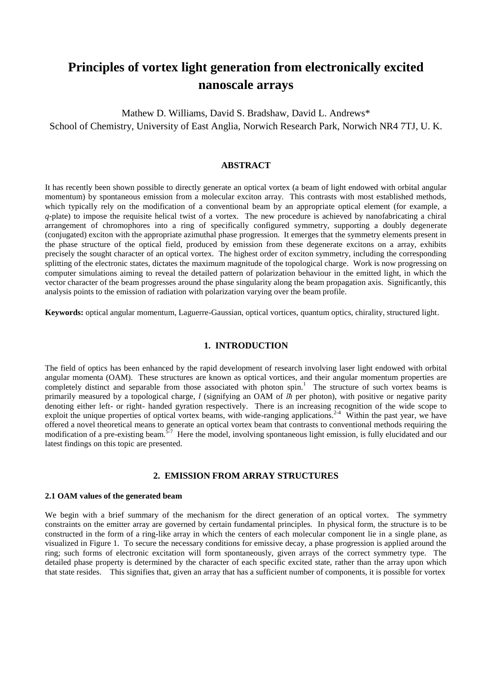# **Principles of vortex light generation from electronically excited nanoscale arrays**

Mathew D. Williams, David S. Bradshaw, David L. Andrews\* School of Chemistry, University of East Anglia, Norwich Research Park, Norwich NR4 7TJ, U. K.

## **ABSTRACT**

It has recently been shown possible to directly generate an optical vortex (a beam of light endowed with orbital angular momentum) by spontaneous emission from a molecular exciton array. This contrasts with most established methods, which typically rely on the modification of a conventional beam by an appropriate optical element (for example, a *q*-plate) to impose the requisite helical twist of a vortex. The new procedure is achieved by nanofabricating a chiral arrangement of chromophores into a ring of specifically configured symmetry, supporting a doubly degenerate (conjugated) exciton with the appropriate azimuthal phase progression. It emerges that the symmetry elements present in the phase structure of the optical field, produced by emission from these degenerate excitons on a array, exhibits precisely the sought character of an optical vortex. The highest order of exciton symmetry, including the corresponding splitting of the electronic states, dictates the maximum magnitude of the topological charge. Work is now progressing on computer simulations aiming to reveal the detailed pattern of polarization behaviour in the emitted light, in which the vector character of the beam progresses around the phase singularity along the beam propagation axis. Significantly, this analysis points to the emission of radiation with polarization varying over the beam profile.

**Keywords:** optical angular momentum, Laguerre-Gaussian, optical vortices, quantum optics, chirality, structured light.

## **1. INTRODUCTION**

The field of optics has been enhanced by the rapid development of research involving laser light endowed with orbital angular momenta (OAM). These structures are known as optical vortices, and their angular momentum properties are completelydistinct and separable from those associated with photon spin.<sup>1</sup> The structure of such vortex beams is primarily measured by a topological charge, *l* (signifying an OAM of *lћ* per photon), with positive or negative parity denoting either left- or right- handed gyration respectively. There is an increasing recognition of the wide scope to exploit the unique properties of optical vortex beams, with wide-ranging applications.<sup>[2-4](#page-4-1)</sup> Within the past year, we have offered a novel theoretical means to generate an optical vortex beam that contrasts to conventional methods requiring the modification of a pre-existing beam.<sup>[5-7](#page-4-2)</sup> Here the model, involving spontaneous light emission, is fully elucidated and our latest findings on this topic are presented.

# **2. EMISSION FROM ARRAY STRUCTURES**

#### **2.1 OAM values of the generated beam**

We begin with a brief summary of the mechanism for the direct generation of an optical vortex. The symmetry constraints on the emitter array are governed by certain fundamental principles. In physical form, the structure is to be constructed in the form of a ring-like array in which the centers of each molecular component lie in a single plane, as visualized in Figure 1. To secure the necessary conditions for emissive decay, a phase progression is applied around the ring; such forms of electronic excitation will form spontaneously, given arrays of the correct symmetry type. The detailed phase property is determined by the character of each specific excited state, rather than the array upon which that state resides. This signifies that, given an array that has a sufficient number of components, it is possible for vortex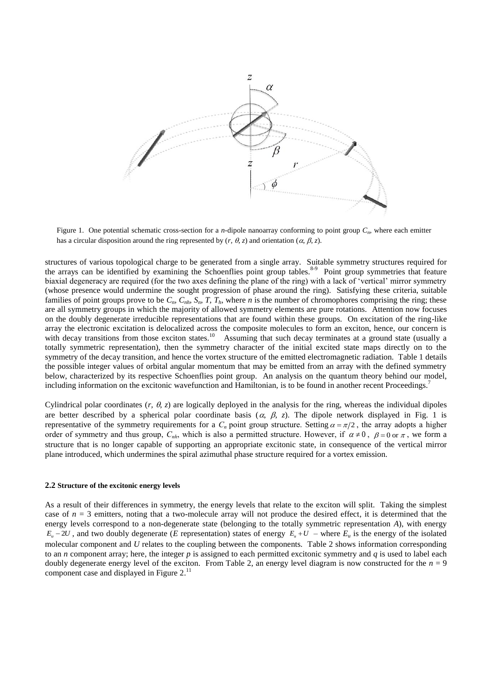

Figure 1. One potential schematic cross-section for a *n*-dipole nanoarray conforming to point group *C<sup>n</sup>* , where each emitter has a circular disposition around the ring represented by  $(r, \theta, z)$  and orientation  $(\alpha, \beta, z)$ .

structures of various topological charge to be generated from a single array. Suitable symmetry structures required for the arrays can be identified by examining the Schoenflies point group tables.<sup>[8-9](#page-4-3)</sup> Point group symmetries that feature biaxial degeneracy are required (for the two axes defining the plane of the ring) with a lack of 'vertical' mirror symmetry (whose presence would undermine the sought progression of phase around the ring). Satisfying these criteria, suitable families of point groups prove to be  $C_n$ ,  $C_{nh}$ ,  $S_n$ ,  $T$ ,  $T_h$ , where  $n$  is the number of chromophores comprising the ring; these are all symmetry groups in which the majority of allowed symmetry elements are pure rotations. Attention now focuses on the doubly degenerate irreducible representations that are found within these groups. On excitation of the ring-like array the electronic excitation is delocalized across the composite molecules to form an exciton, hence, our concern is with decay transitions from those exciton states.<sup>[10](#page-4-4)</sup> Assuming that such decay terminates at a ground state (usually a totally symmetric representation), then the symmetry character of the initial excited state maps directly on to the symmetry of the decay transition, and hence the vortex structure of the emitted electromagnetic radiation. Table 1 details the possible integer values of orbital angular momentum that may be emitted from an array with the defined symmetry below, characterized by its respective Schoenflies point group. An analysis on the quantum theory behind our model, including information on the excitonic wavefunction and Hamiltonian, is to be found in another recent Proceedings[.](#page-4-5) 7

Cylindrical polar coordinates  $(r, \theta, z)$  are logically deployed in the analysis for the ring, whereas the individual dipoles are better described by a spherical polar coordinate basis  $(a, \beta, z)$ . The dipole network displayed in Fig. 1 is representative of the symmetry requirements for a  $C_n$  point group structure. Setting  $\alpha = \pi/2$ , the array adopts a higher order of symmetry and thus group,  $C_{nh}$ , which is also a permitted structure. However, if  $\alpha \neq 0$ ,  $\beta = 0$  or  $\pi$ , we form a structure that is no longer capable of supporting an appropriate excitonic state, in consequence of the vertical mirror plane introduced, which undermines the spiral azimuthal phase structure required for a vortex emission.

#### **2.2 Structure of the excitonic energy levels**

As a result of their differences in symmetry, the energy levels that relate to the exciton will split. Taking the simplest case of  $n = 3$  emitters, noting that a two-molecule array will not produce the desired effect, it is determined that the energy levels correspond to a non-degenerate state (belonging to the totally symmetric representation *A*), with energy  $E_u - 2U$ , and two doubly degenerate (*E* representation) states of energy  $E_u + U$  – where  $E_u$  is the energy of the isolated molecular component and *U* relates to the coupling between the components. Table 2 shows information corresponding to an *n* component array; here, the integer *p* is assigned to each permitted excitonic symmetry and *q* is used to label each doubly degenerate energy level of the exciton. From Table 2, an energy level diagram is now constructed for the  $n = 9$ component case and displayed in Figure 2.<sup>[11](#page-4-6)</sup>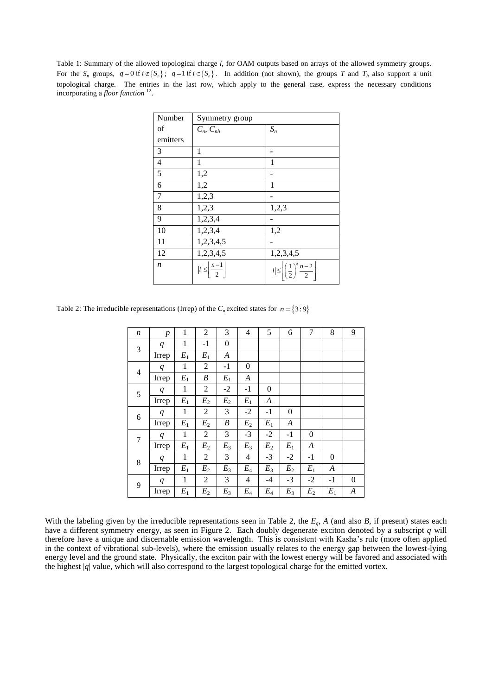Table 1: Summary of the allowed topological charge *l*, for OAM outputs based on arrays of the allowed symmetry groups. For the  $S_n$  groups,  $q = 0$  if  $i \notin \{S_n\}$ ;  $q = 1$  if  $i \in \{S_n\}$ . In addition (not shown), the groups *T* and  $T_h$  also support a unit topological charge. The entries in the last row, which apply to the general case, express the necessary conditions incorporating a *floor function* [12](#page-4-7) .

| Number         | Symmetry group                          |                                                                      |
|----------------|-----------------------------------------|----------------------------------------------------------------------|
| οf             | $C_n, C_{nh}$                           | $S_n$                                                                |
| emitters       |                                         |                                                                      |
| 3              | 1                                       |                                                                      |
| $\overline{4}$ | 1                                       | 1                                                                    |
| 5              | 1,2                                     |                                                                      |
| 6              | 1,2                                     | 1                                                                    |
| 7              | 1,2,3                                   |                                                                      |
| 8              | 1,2,3                                   | 1,2,3                                                                |
| 9              | 1,2,3,4                                 |                                                                      |
| 10             | 1,2,3,4                                 | 1,2                                                                  |
| 11             | 1,2,3,4,5                               |                                                                      |
| 12             | 1,2,3,4,5                               | 1,2,3,4,5                                                            |
| n              | $ l  \leq \left  \frac{n-1}{2} \right $ | $ l  \leq \left  \left( \frac{1}{2} \right)^q \frac{n-2}{2} \right $ |

Table 2: The irreducible representations (Irrep) of the  $C_n$  excited states for  $n = \{3:9\}$ 

| n | $\boldsymbol{p}$ | $\mathbf{1}$ | 2              | 3            | 4                | 5        | 6            | 7                | 8                | 9                |
|---|------------------|--------------|----------------|--------------|------------------|----------|--------------|------------------|------------------|------------------|
| 3 | q                | $\mathbf{1}$ | $-1$           | $\mathbf{0}$ |                  |          |              |                  |                  |                  |
|   | Irrep            | $E_1$        | $E_1$          | A            |                  |          |              |                  |                  |                  |
| 4 | $\boldsymbol{q}$ | $\mathbf{1}$ | 2              | $-1$         | $\boldsymbol{0}$ |          |              |                  |                  |                  |
|   | Irrep            | $E_1$        | B              | $E_1$        | A                |          |              |                  |                  |                  |
| 5 | q                | 1            | 2              | $-2$         | $-1$             | $\theta$ |              |                  |                  |                  |
|   | Irrep            | $E_1$        | $E_2$          | $E_2$        | $E_1$            | A        |              |                  |                  |                  |
| 6 | $\boldsymbol{q}$ | 1            | 2              | 3            | $-2$             | $-1$     | $\mathbf{0}$ |                  |                  |                  |
|   | Irrep            | $E_1$        | E <sub>2</sub> | B            | $E_2$            | $E_1$    | A            |                  |                  |                  |
| 7 | $\boldsymbol{q}$ | $\mathbf{1}$ | 2              | 3            | $-3$             | $-2$     | $-1$         | $\boldsymbol{0}$ |                  |                  |
|   | Irrep            | $E_1$        | E <sub>2</sub> | $E_3$        | $E_3$            | $E_2$    | $E_1$        | A                |                  |                  |
| 8 | $\boldsymbol{q}$ | $\mathbf{1}$ | 2              | 3            | 4                | $-3$     | $-2$         | $-1$             | $\boldsymbol{0}$ |                  |
|   | Irrep            | $E_1$        | E <sub>2</sub> | $E_3$        | $E_4$            | $E_3$    | $E_2$        | $E_1$            | A                |                  |
| 9 | q                | 1            | 2              | 3            | 4                | $-4$     | $-3$         | $-2$             | $-1$             | $\boldsymbol{0}$ |
|   | Irrep            | $E_1$        | $E_2$          | $E_3$        | $E_4$            | $E_4$    | $E_3$        | E <sub>2</sub>   | $E_1$            | A                |

With the labeling given by the irreducible representations seen in Table 2, the  $E_q$ ,  $A$  (and also  $B$ , if present) states each have a different symmetry energy, as seen in Figure 2. Each doubly degenerate exciton denoted by a subscript *q* will therefore have a unique and discernable emission wavelength. This is consistent with Kasha's rule (more often applied in the context of vibrational sub-levels), where the emission usually relates to the energy gap between the lowest-lying energy level and the ground state. Physically, the exciton pair with the lowest energy will be favored and associated with the highest |*q*| value, which will also correspond to the largest topological charge for the emitted vortex.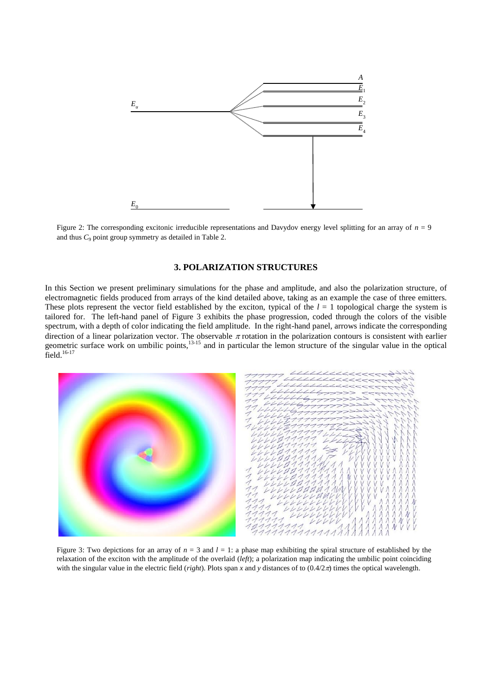

Figure 2: The corresponding excitonic irreducible representations and Davydov energy level splitting for an array of  $n = 9$ and thus  $C_9$  point group symmetry as detailed in Table 2.

# **3. POLARIZATION STRUCTURES**

In this Section we present preliminary simulations for the phase and amplitude, and also the polarization structure, of electromagnetic fields produced from arrays of the kind detailed above, taking as an example the case of three emitters. These plots represent the vector field established by the exciton, typical of the  $l = 1$  topological charge the system is tailored for. The left-hand panel of Figure 3 exhibits the phase progression, coded through the colors of the visible spectrum, with a depth of color indicating the field amplitude. In the right-hand panel, arrows indicate the corresponding direction of a linear polarization vector. The observable  $\pi$  rotation in the polarization contours is consistent with earlier geometric surface work on umbilic points,<sup>[13-15](#page-4-8)</sup> and in particular the lemon structure of the singular value in the optical field. $16-17$ 



Figure 3: Two depictions for an array of  $n = 3$  and  $l = 1$ : a phase map exhibiting the spiral structure of established by the relaxation of the exciton with the amplitude of the overlaid (*left*); a polarization map indicating the umbilic point coinciding with the singular value in the electric field (*right*). Plots span x and y distances of to  $(0.4/2\pi)$  times the optical wavelength.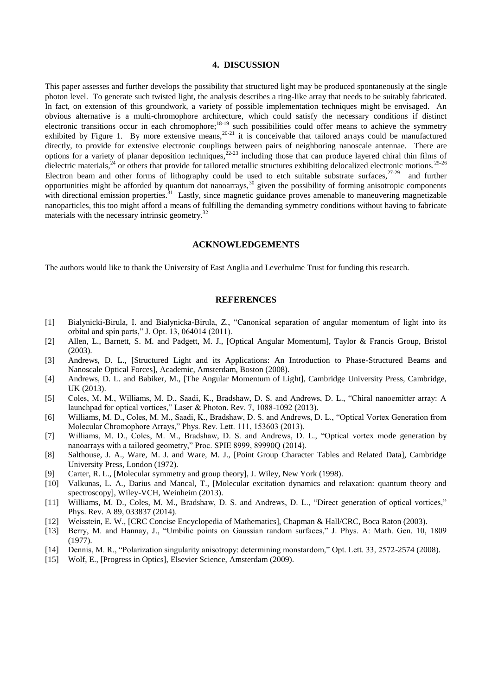# **4. DISCUSSION**

This paper assesses and further develops the possibility that structured light may be produced spontaneously at the single photon level. To generate such twisted light, the analysis describes a ring-like array that needs to be suitably fabricated. In fact, on extension of this groundwork, a variety of possible implementation techniques might be envisaged. An obvious alternative is a multi-chromophore architecture, which could satisfy the necessary conditions if distinct electronic transitions occur in each chromophore;<sup>[18-19](#page-5-1)</sup> such possibilities could offer means to achieve the symmetry exhibited by Figure 1. By more extensive means,  $20-21$  it is conceivable that tailored arrays could be manufactured directly, to provide for extensive electronic couplings between pairs of neighboring nanoscale antennae. There are options for a variety of planar deposition techniques, $^{22-23}$  $^{22-23}$  $^{22-23}$  including those that can produce layered chiral thin films of dielectric materials,  $^{24}$  $^{24}$  $^{24}$  or others that provide for tailored metallic structures exhibiting delocalized electronic motions.  $^{25-26}$  $^{25-26}$  $^{25-26}$ Electron beam and other forms of lithography could be used to etch suitable substrate surfaces, $27-29$  and further opportunities might be afforded by quantum dot nanoarrays,  $30$  given the possibility of forming anisotropic components with directional emission properties.<sup>[31](#page-5-8)</sup> Lastly, since magnetic guidance proves amenable to maneuvering magnetizable nanoparticles, this too might afford a means of fulfilling the demanding symmetry conditions without having to fabricate materials with the necessary intrinsic geometry.<sup>[32](#page-5-9)</sup>

## **ACKNOWLEDGEMENTS**

The authors would like to thank the University of East Anglia and Leverhulme Trust for funding this research.

## **REFERENCES**

- <span id="page-4-0"></span>[1] Bialynicki-Birula, I. and Bialynicka-Birula, Z., "Canonical separation of angular momentum of light into its orbital and spin parts," J. Opt. 13, 064014 (2011).
- <span id="page-4-1"></span>[2] Allen, L., Barnett, S. M. and Padgett, M. J., [Optical Angular Momentum], Taylor & Francis Group, Bristol (2003).
- [3] Andrews, D. L., [Structured Light and its Applications: An Introduction to Phase-Structured Beams and Nanoscale Optical Forces], Academic, Amsterdam, Boston (2008).
- [4] Andrews, D. L. and Babiker, M., [The Angular Momentum of Light], Cambridge University Press, Cambridge, UK (2013).
- <span id="page-4-2"></span>[5] Coles, M. M., Williams, M. D., Saadi, K., Bradshaw, D. S. and Andrews, D. L., "Chiral nanoemitter array: A launchpad for optical vortices," Laser & Photon. Rev. 7, 1088-1092 (2013).
- [6] Williams, M. D., Coles, M. M., Saadi, K., Bradshaw, D. S. and Andrews, D. L., "Optical Vortex Generation from Molecular Chromophore Arrays," Phys. Rev. Lett. 111, 153603 (2013).
- <span id="page-4-5"></span>[7] Williams, M. D., Coles, M. M., Bradshaw, D. S. and Andrews, D. L., "Optical vortex mode generation by nanoarrays with a tailored geometry," Proc. SPIE 8999, 89990Q (2014).
- <span id="page-4-3"></span>[8] Salthouse, J. A., Ware, M. J. and Ware, M. J., [Point Group Character Tables and Related Data], Cambridge University Press, London (1972).
- [9] Carter, R. L., [Molecular symmetry and group theory], J. Wiley, New York (1998).
- <span id="page-4-4"></span>[10] Valkunas, L. A., Darius and Mancal, T., [Molecular excitation dynamics and relaxation: quantum theory and spectroscopy], Wiley-VCH, Weinheim (2013).
- <span id="page-4-6"></span>[11] Williams, M. D., Coles, M. M., Bradshaw, D. S. and Andrews, D. L., "Direct generation of optical vortices," Phys. Rev. A 89, 033837 (2014).
- <span id="page-4-7"></span>[12] Weisstein, E. W., [CRC Concise Encyclopedia of Mathematics], Chapman & Hall/CRC, Boca Raton (2003).
- <span id="page-4-8"></span>[13] Berry, M. and Hannay, J., "Umbilic points on Gaussian random surfaces," J. Phys. A: Math. Gen. 10, 1809 (1977).
- [14] Dennis, M. R., "Polarization singularity anisotropy: determining monstardom," Opt. Lett. 33, 2572-2574 (2008).
- [15] Wolf, E., [Progress in Optics], Elsevier Science, Amsterdam (2009).